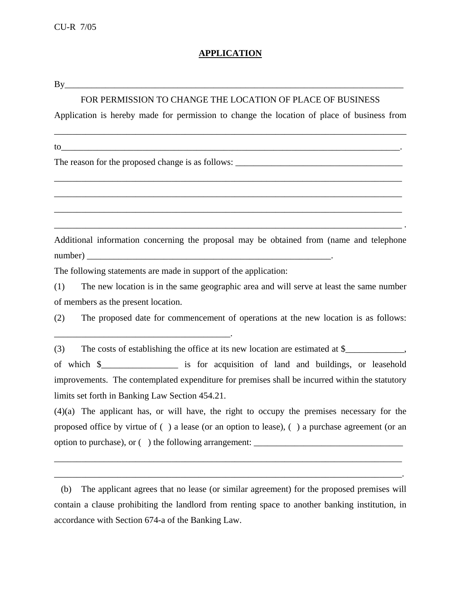## **APPLICATION**

| $\overline{\phantom{a}}$<br>. .<br><b>.</b> |  |
|---------------------------------------------|--|
|                                             |  |

## FOR PERMISSION TO CHANGE THE LOCATION OF PLACE OF BUSINESS

Application is hereby made for permission to change the location of place of business from

\_\_\_\_\_\_\_\_\_\_\_\_\_\_\_\_\_\_\_\_\_\_\_\_\_\_\_\_\_\_\_\_\_\_\_\_\_\_\_\_\_\_\_\_\_\_\_\_\_\_\_\_\_\_\_\_\_\_\_\_\_\_\_\_\_\_\_\_\_\_\_\_\_\_\_\_\_\_

\_\_\_\_\_\_\_\_\_\_\_\_\_\_\_\_\_\_\_\_\_\_\_\_\_\_\_\_\_\_\_\_\_\_\_\_\_\_\_\_\_\_\_\_\_\_\_\_\_\_\_\_\_\_\_\_\_\_\_\_\_\_\_\_\_\_\_\_\_\_\_\_\_\_\_\_\_

\_\_\_\_\_\_\_\_\_\_\_\_\_\_\_\_\_\_\_\_\_\_\_\_\_\_\_\_\_\_\_\_\_\_\_\_\_\_\_\_\_\_\_\_\_\_\_\_\_\_\_\_\_\_\_\_\_\_\_\_\_\_\_\_\_\_\_\_\_\_\_\_\_\_\_\_\_

\_\_\_\_\_\_\_\_\_\_\_\_\_\_\_\_\_\_\_\_\_\_\_\_\_\_\_\_\_\_\_\_\_\_\_\_\_\_\_\_\_\_\_\_\_\_\_\_\_\_\_\_\_\_\_\_\_\_\_\_\_\_\_\_\_\_\_\_\_\_\_\_\_\_\_\_\_

\_\_\_\_\_\_\_\_\_\_\_\_\_\_\_\_\_\_\_\_\_\_\_\_\_\_\_\_\_\_\_\_\_\_\_\_\_\_\_\_\_\_\_\_\_\_\_\_\_\_\_\_\_\_\_\_\_\_\_\_\_\_\_\_\_\_\_\_\_\_\_\_\_\_\_\_\_ .

to\_\_\_\_\_\_\_\_\_\_\_\_\_\_\_\_\_\_\_\_\_\_\_\_\_\_\_\_\_\_\_\_\_\_\_\_\_\_\_\_\_\_\_\_\_\_\_\_\_\_\_\_\_\_\_\_\_\_\_\_\_\_\_\_\_\_\_\_\_\_\_\_\_\_\_.

The reason for the proposed change is as follows:

\_\_\_\_\_\_\_\_\_\_\_\_\_\_\_\_\_\_\_\_\_\_\_\_\_\_\_\_\_\_\_\_\_\_\_\_\_\_\_.

Additional information concerning the proposal may be obtained from (name and telephone number) \_\_\_\_\_\_\_\_\_\_\_\_\_\_\_\_\_\_\_\_\_\_\_\_\_\_\_\_\_\_\_\_\_\_\_\_\_\_\_\_\_\_\_\_\_\_\_\_\_\_\_\_\_\_.

The following statements are made in support of the application:

(1) The new location is in the same geographic area and will serve at least the same number of members as the present location.

(2) The proposed date for commencement of operations at the new location is as follows:

(3) The costs of establishing the office at its new location are estimated at  $\frac{1}{2}$ ,

of which \$\_\_\_\_\_\_\_\_\_\_\_\_\_\_\_\_\_ is for acquisition of land and buildings, or leasehold improvements. The contemplated expenditure for premises shall be incurred within the statutory limits set forth in Banking Law Section 454.21.

(4)(a) The applicant has, or will have, the right to occupy the premises necessary for the proposed office by virtue of ( ) a lease (or an option to lease), ( ) a purchase agreement (or an option to purchase), or ( ) the following arrangement: \_\_\_\_\_\_\_\_\_\_\_\_\_\_\_\_\_\_\_\_\_\_\_\_\_\_\_\_\_\_\_\_\_

\_\_\_\_\_\_\_\_\_\_\_\_\_\_\_\_\_\_\_\_\_\_\_\_\_\_\_\_\_\_\_\_\_\_\_\_\_\_\_\_\_\_\_\_\_\_\_\_\_\_\_\_\_\_\_\_\_\_\_\_\_\_\_\_\_\_\_\_\_\_\_\_\_\_\_\_\_

\_\_\_\_\_\_\_\_\_\_\_\_\_\_\_\_\_\_\_\_\_\_\_\_\_\_\_\_\_\_\_\_\_\_\_\_\_\_\_\_\_\_\_\_\_\_\_\_\_\_\_\_\_\_\_\_\_\_\_\_\_\_\_\_\_\_\_\_\_\_\_\_\_\_\_\_\_.

(b) The applicant agrees that no lease (or similar agreement) for the proposed premises will contain a clause prohibiting the landlord from renting space to another banking institution, in accordance with Section 674-a of the Banking Law.